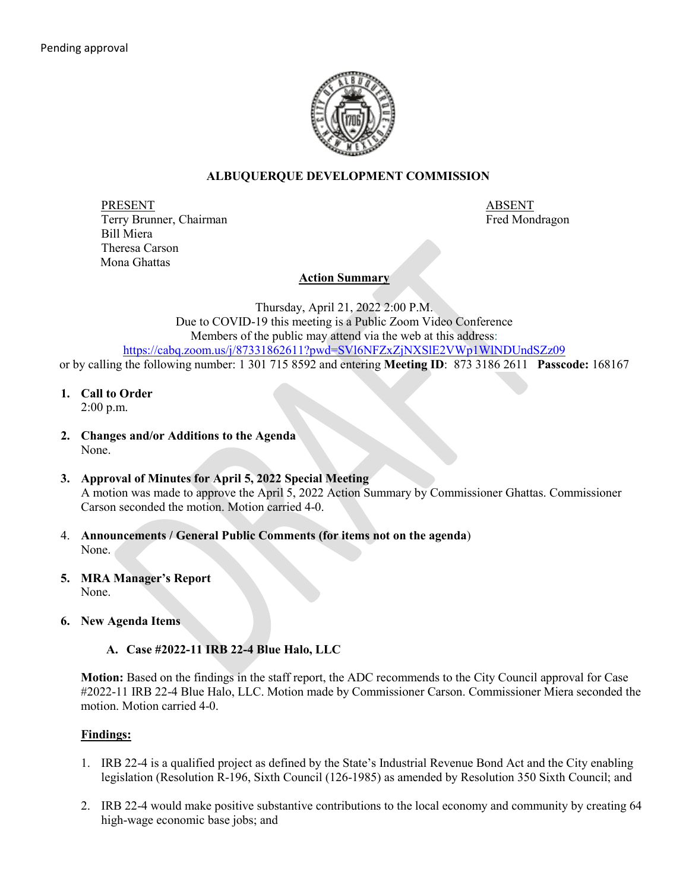

# **ALBUQUERQUE DEVELOPMENT COMMISSION**

PRESENT ABSENT Terry Brunner, Chairman Fred Mondragon and Terry Brunner, Chairman Fred Mondragon Bill Miera Theresa Carson Mona Ghattas

# **Action Summary**

Thursday, April 21, 2022 2:00 P.M. Due to COVID-19 this meeting is a Public Zoom Video Conference Members of the public may attend via the web at this address: <https://cabq.zoom.us/j/87331862611?pwd=SVl6NFZxZjNXSlE2VWp1WlNDUndSZz09>

or by calling the following number: 1 301 715 8592 and entering **Meeting ID**: 873 3186 2611 **Passcode:** 168167

**1. Call to Order**

2:00 p.m.

- **2. Changes and/or Additions to the Agenda** None.
- **3. Approval of Minutes for April 5, 2022 Special Meeting** A motion was made to approve the April 5, 2022 Action Summary by Commissioner Ghattas. Commissioner Carson seconded the motion. Motion carried 4-0.
- 4. **Announcements / General Public Comments (for items not on the agenda**) None.
- **5. MRA Manager's Report** None.
- **6. New Agenda Items**
	- **A. Case #2022-11 IRB 22-4 Blue Halo, LLC**

**Motion:** Based on the findings in the staff report, the ADC recommends to the City Council approval for Case #2022-11 IRB 22-4 Blue Halo, LLC. Motion made by Commissioner Carson. Commissioner Miera seconded the motion. Motion carried 4-0.

# **Findings:**

- 1. IRB 22-4 is a qualified project as defined by the State's Industrial Revenue Bond Act and the City enabling legislation (Resolution R-196, Sixth Council (126-1985) as amended by Resolution 350 Sixth Council; and
- 2. IRB 22-4 would make positive substantive contributions to the local economy and community by creating 64 high-wage economic base jobs; and